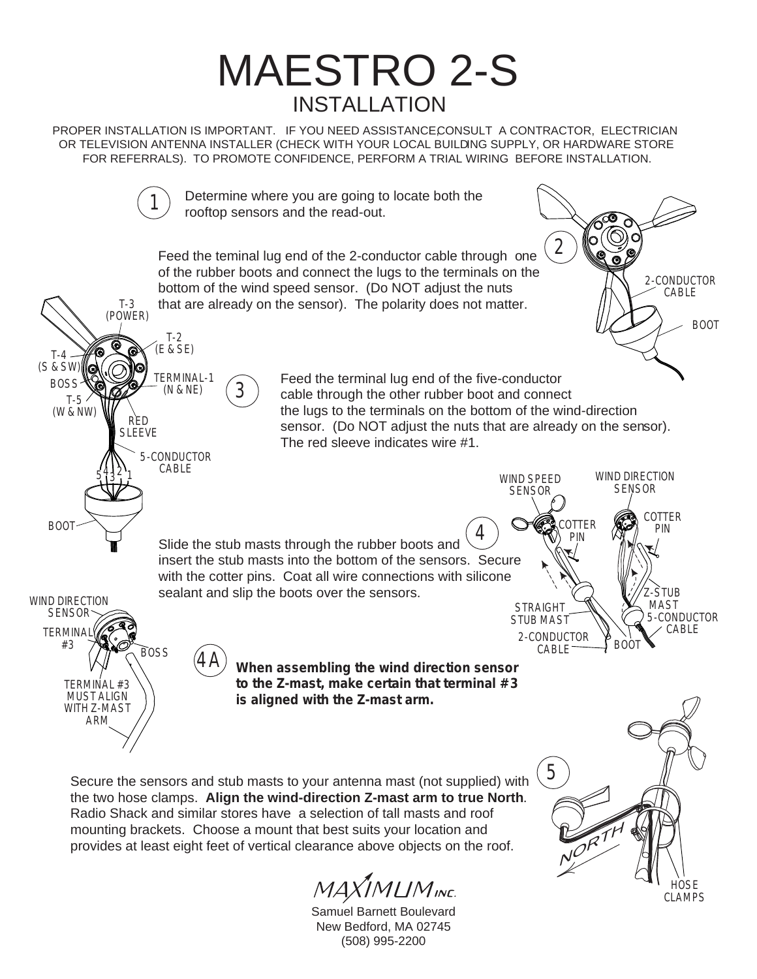

PROPER INSTALLATION IS IMPORTANT. IF YOU NEED ASSISTANCE CONSULT A CONTRACTOR, ELECTRICIAN OR TELEVISION ANTENNA INSTALLER (CHECK WITH YOUR LOCAL BUILDING SUPPLY, OR HARDWARE STORE FOR REFERRALS). TO PROMOTE CONFIDENCE, PERFORM A TRIAL WIRING BEFORE INSTALLATION.



the two hose clamps. **Align the wind-direction Z-mast arm to true North**. Radio Shack and similar stores have a selection of tall masts and roof mounting brackets. Choose a mount that best suits your location and provides at least eight feet of vertical clearance above objects on the roof.

 $\hat{J}$ MLIM<sub>INE.</sub>



**HOSE** CLAMPS

NORTH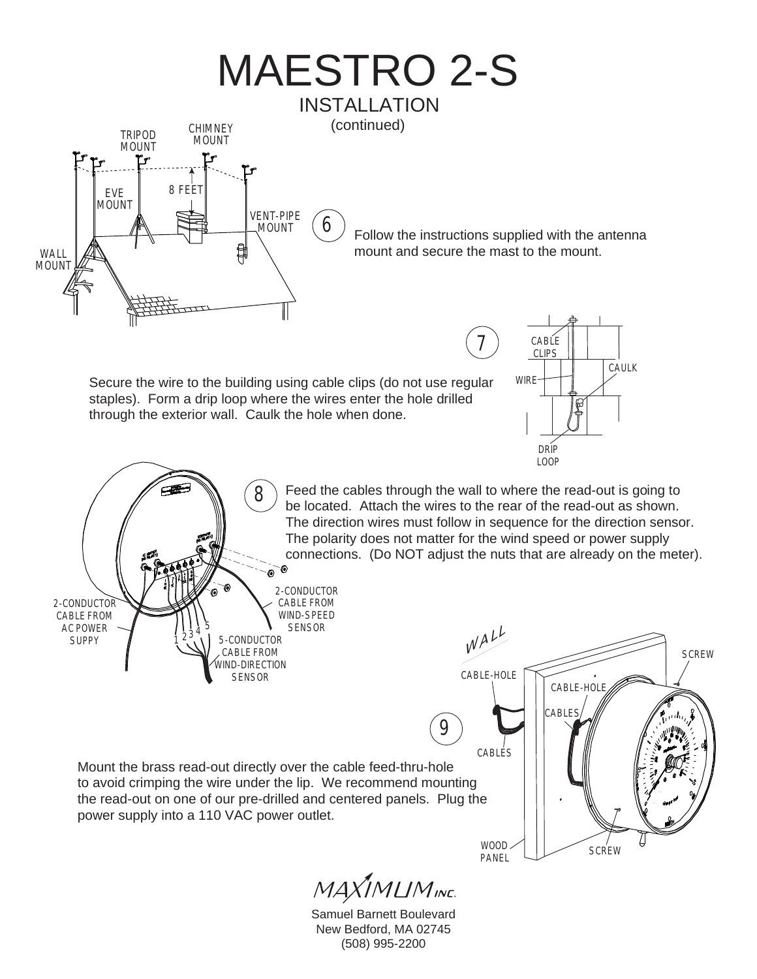

Samuel Barnett Boulevard New Bedford, MA 02745 (508) 995-2200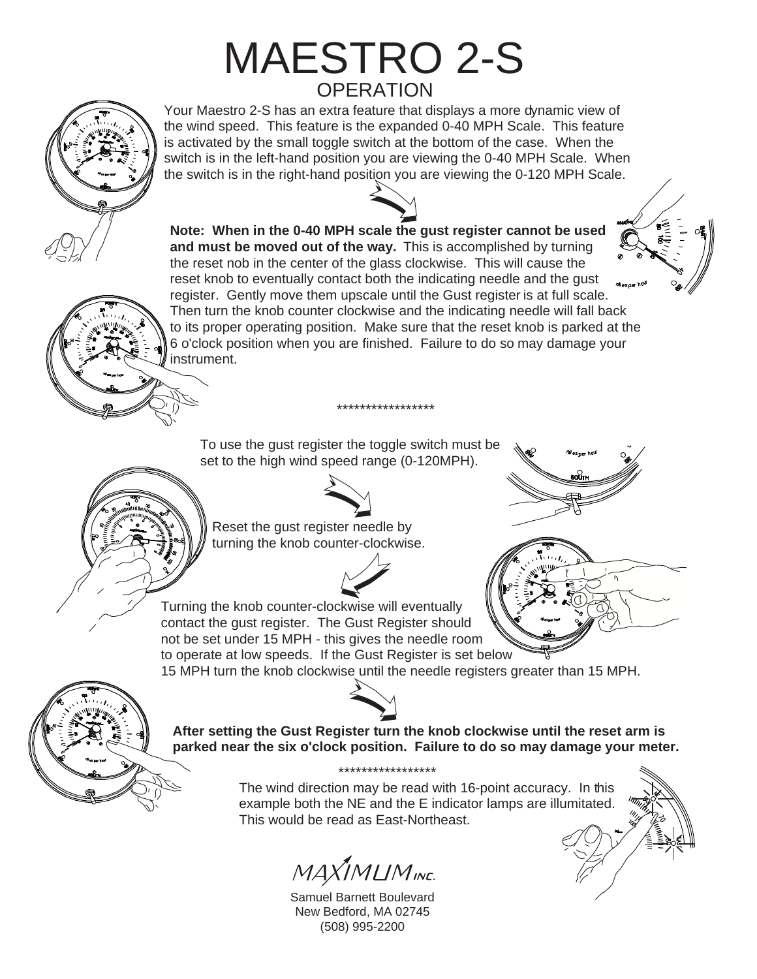## MAESTRO 2-S **OPERATION**

Your Maestro 2-S has an extra feature that displays a more dynamic view of the wind speed. This feature is the expanded 0-40 MPH Scale. This feature is activated by the small toggle switch at the bottom of the case. When the switch is in the left-hand position you are viewing the 0-40 MPH Scale. When the switch is in the right-hand position you are viewing the 0-120 MPH Scale.

**Note: When in the 0-40 MPH scale the gust register cannot be used and must be moved out of the way.** This is accomplished by turning the reset nob in the center of the glass clockwise. This will cause the reset knob to eventually contact both the indicating needle and the gust register. Gently move them upscale until the Gust register is at full scale. Then turn the knob counter clockwise and the indicating needle will fall back to its proper operating position. Make sure that the reset knob is parked at the 6 o'clock position when you are finished. Failure to do so may damage your instrument.

\*\*\*\*\*\*\*\*\*\*\*\*\*\*\*\*\*

To use the gust register the toggle switch must be set to the high wind speed range (0-120MPH).



Reset the gust register needle by turning the knob counter-clockwise.

Turning the knob counter-clockwise will eventually







**After setting the Gust Register turn the knob clockwise until the reset arm is parked near the six o'clock position. Failure to do so may damage your meter.**

> The wind direction may be read with 16-point accuracy. In this example both the NE and the E indicator lamps are illumitated. This would be read as East-Northeast. \*\*\*\*\*\*\*\*\*\*\*\*\*\*\*\*\*

MAXIMLIMINE.

Samuel Barnett Boulevard New Bedford, MA 02745 (508) 995-2200



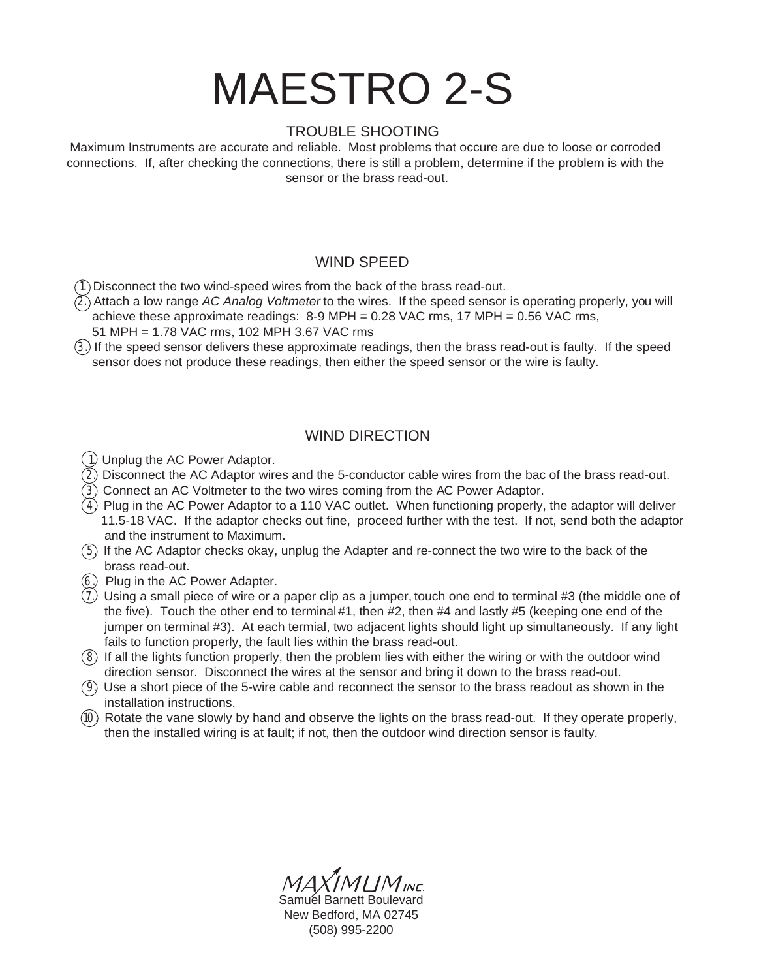# MAESTRO 2-S

#### TROUBLE SHOOTING

Maximum Instruments are accurate and reliable. Most problems that occure are due to loose or corroded connections. If, after checking the connections, there is still a problem, determine if the problem is with the sensor or the brass read-out.

#### WIND SPEED

1. Disconnect the two wind-speed wires from the back of the brass read-out.

- $(2)$ . Attach a low range AC Analog Voltmeter to the wires. If the speed sensor is operating properly, you will achieve these approximate readings: 8-9 MPH = 0.28 VAC rms, 17 MPH = 0.56 VAC rms,
	- 51 MPH = 1.78 VAC rms, 102 MPH 3.67 VAC rms
- 3. If the speed sensor delivers these approximate readings, then the brass read-out is faulty. If the speed sensor does not produce these readings, then either the speed sensor or the wire is faulty.

### WIND DIRECTION

- 1. Unplug the AC Power Adaptor.
- $(2)$  Disconnect the AC Adaptor wires and the 5-conductor cable wires from the bac of the brass read-out.
- $(3)$  Connect an AC Voltmeter to the two wires coming from the AC Power Adaptor.
- $\overline{(4)}$  Plug in the AC Power Adaptor to a 110 VAC outlet. When functioning properly, the adaptor will deliver 11.5-18 VAC. If the adaptor checks out fine, proceed further with the test. If not, send both the adaptor and the instrument to Maximum.
- 5. If the AC Adaptor checks okay, unplug the Adapter and re-connect the two wire to the back of the brass read-out.
- 6. Plug in the AC Power Adapter.
- 7. Using a small piece of wire or a paper clip as a jumper, touch one end to terminal #3 (the middle one of the five). Touch the other end to terminal #1, then #2, then #4 and lastly #5 (keeping one end of the jumper on terminal #3). At each termial, two adjacent lights should light up simultaneously. If any light fails to function properly, the fault lies within the brass read-out.
- 8. If all the lights function properly, then the problem lies with either the wiring or with the outdoor wind direction sensor. Disconnect the wires at the sensor and bring it down to the brass read-out.
- 9. Use a short piece of the 5-wire cable and reconnect the sensor to the brass readout as shown in the installation instructions.
- 10. Rotate the vane slowly by hand and observe the lights on the brass read-out. If they operate properly, then the installed wiring is at fault; if not, then the outdoor wind direction sensor is faulty.

IMLIM<sub>INE</sub> Samuél Barnett Boulevard New Bedford, MA 02745 (508) 995-2200